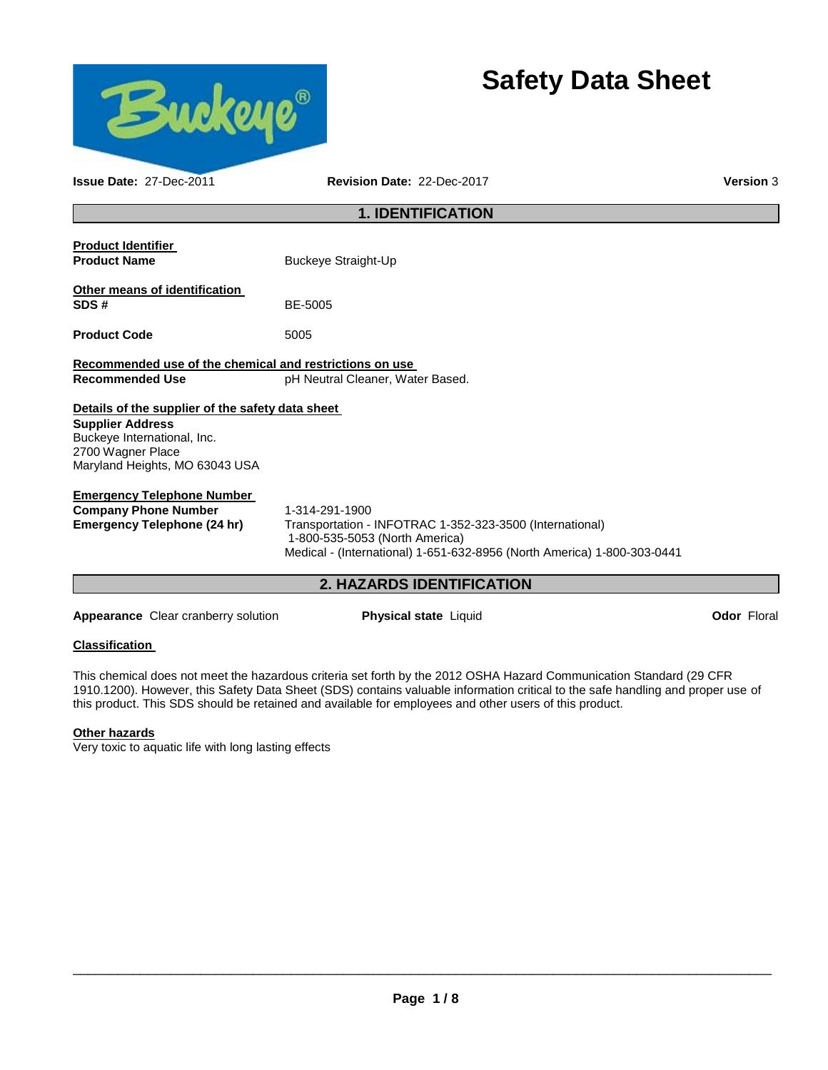

# **Safety Data Sheet**

| <b>Issue Date: 27-Dec-2011</b>                                                                                                                                    | Revision Date: 22-Dec-2017                                                                                                                                                              | <b>Version 3</b> |
|-------------------------------------------------------------------------------------------------------------------------------------------------------------------|-----------------------------------------------------------------------------------------------------------------------------------------------------------------------------------------|------------------|
|                                                                                                                                                                   | <b>1. IDENTIFICATION</b>                                                                                                                                                                |                  |
| <b>Product Identifier</b><br><b>Product Name</b>                                                                                                                  | <b>Buckeye Straight-Up</b>                                                                                                                                                              |                  |
| Other means of identification<br>SDS#                                                                                                                             | BE-5005                                                                                                                                                                                 |                  |
| <b>Product Code</b>                                                                                                                                               | 5005                                                                                                                                                                                    |                  |
| Recommended use of the chemical and restrictions on use<br><b>Recommended Use</b>                                                                                 | pH Neutral Cleaner, Water Based.                                                                                                                                                        |                  |
| Details of the supplier of the safety data sheet<br><b>Supplier Address</b><br>Buckeye International, Inc.<br>2700 Wagner Place<br>Maryland Heights, MO 63043 USA |                                                                                                                                                                                         |                  |
| <b>Emergency Telephone Number</b><br><b>Company Phone Number</b><br><b>Emergency Telephone (24 hr)</b>                                                            | 1-314-291-1900<br>Transportation - INFOTRAC 1-352-323-3500 (International)<br>1-800-535-5053 (North America)<br>Medical - (International) 1-651-632-8956 (North America) 1-800-303-0441 |                  |

# **2. HAZARDS IDENTIFICATION**

**Appearance** Clear cranberry solution **Physical state** Liquid **Constant Constant Constant Constant Constant Constant Constant Constant Constant Constant Constant Constant Constant Constant Constant Constant Constant Consta** 

### **Classification**

This chemical does not meet the hazardous criteria set forth by the 2012 OSHA Hazard Communication Standard (29 CFR 1910.1200). However, this Safety Data Sheet (SDS) contains valuable information critical to the safe handling and proper use of this product. This SDS should be retained and available for employees and other users of this product.

### **Other hazards**

Very toxic to aquatic life with long lasting effects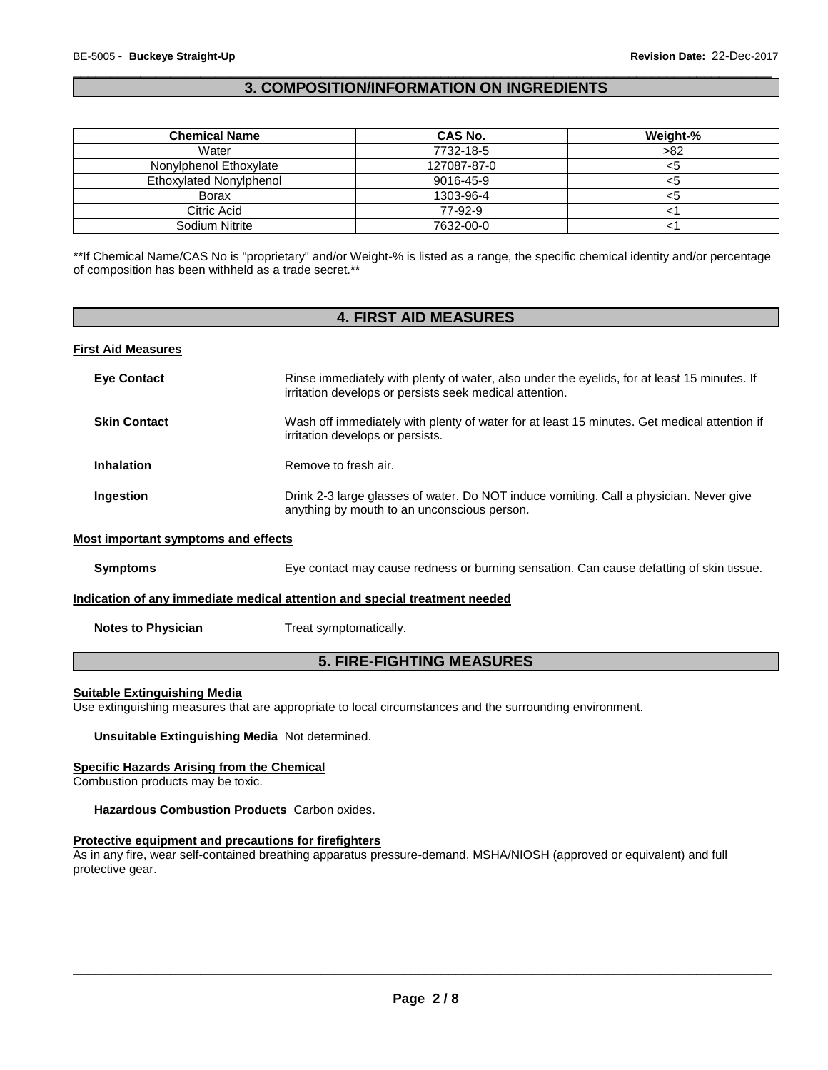### \_\_\_\_\_\_\_\_\_\_\_\_\_\_\_\_\_\_\_\_\_\_\_\_\_\_\_\_\_\_\_\_\_\_\_\_\_\_\_\_\_\_\_\_\_\_\_\_\_\_\_\_\_\_\_\_\_\_\_\_\_\_\_\_\_\_\_\_\_\_\_\_\_\_\_\_\_\_\_\_\_\_\_\_\_\_\_\_\_\_\_\_\_ **3. COMPOSITION/INFORMATION ON INGREDIENTS**

| <b>Chemical Name</b>    | CAS No.     | Weight-% |
|-------------------------|-------------|----------|
| Water                   | 7732-18-5   | >82      |
| Nonylphenol Ethoxylate  | 127087-87-0 |          |
| Ethoxylated Nonylphenol | 9016-45-9   | <ວ       |
| <b>Borax</b>            | 1303-96-4   |          |
| Citric Acid             | 77-92-9     |          |
| Sodium Nitrite          | 7632-00-0   |          |

\*\*If Chemical Name/CAS No is "proprietary" and/or Weight-% is listed as a range, the specific chemical identity and/or percentage of composition has been withheld as a trade secret.\*\*

# **4. FIRST AID MEASURES**

### **First Aid Measures**

| <b>Eve Contact</b>                                                         | Rinse immediately with plenty of water, also under the eyelids, for at least 15 minutes. If<br>irritation develops or persists seek medical attention. |  |
|----------------------------------------------------------------------------|--------------------------------------------------------------------------------------------------------------------------------------------------------|--|
| <b>Skin Contact</b>                                                        | Wash off immediately with plenty of water for at least 15 minutes. Get medical attention if<br>irritation develops or persists.                        |  |
| <b>Inhalation</b>                                                          | Remove to fresh air.                                                                                                                                   |  |
| Ingestion                                                                  | Drink 2-3 large glasses of water. Do NOT induce vomiting. Call a physician. Never give<br>anything by mouth to an unconscious person.                  |  |
| Most important symptoms and effects                                        |                                                                                                                                                        |  |
| <b>Symptoms</b>                                                            | Eye contact may cause redness or burning sensation. Can cause defatting of skin tissue.                                                                |  |
| Indication of any immediate medical attention and special treatment needed |                                                                                                                                                        |  |
| <b>Notes to Physician</b>                                                  | Treat symptomatically.                                                                                                                                 |  |

# **5. FIRE-FIGHTING MEASURES**

### **Suitable Extinguishing Media**

Use extinguishing measures that are appropriate to local circumstances and the surrounding environment.

**Unsuitable Extinguishing Media** Not determined.

### **Specific Hazards Arising from the Chemical**

Combustion products may be toxic.

### **Hazardous Combustion Products** Carbon oxides.

### **Protective equipment and precautions for firefighters**

As in any fire, wear self-contained breathing apparatus pressure-demand, MSHA/NIOSH (approved or equivalent) and full protective gear.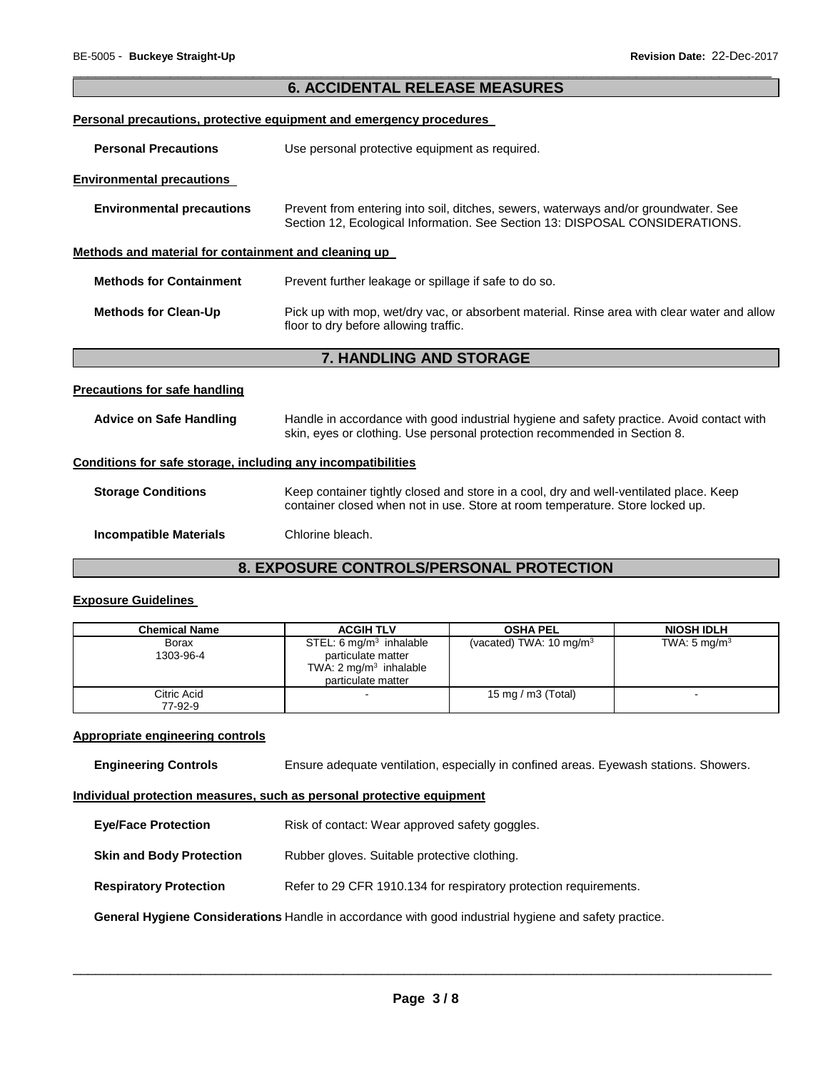|                                                              | <b>6. ACCIDENTAL RELEASE MEASURES</b>                                                                                                                                   |
|--------------------------------------------------------------|-------------------------------------------------------------------------------------------------------------------------------------------------------------------------|
|                                                              | <b>Personal precautions, protective equipment and emergency procedures</b>                                                                                              |
| <b>Personal Precautions</b>                                  | Use personal protective equipment as required.                                                                                                                          |
| <b>Environmental precautions</b>                             |                                                                                                                                                                         |
| <b>Environmental precautions</b>                             | Prevent from entering into soil, ditches, sewers, waterways and/or groundwater. See<br>Section 12, Ecological Information. See Section 13: DISPOSAL CONSIDERATIONS.     |
| Methods and material for containment and cleaning up         |                                                                                                                                                                         |
| <b>Methods for Containment</b>                               | Prevent further leakage or spillage if safe to do so.                                                                                                                   |
| <b>Methods for Clean-Up</b>                                  | Pick up with mop, wet/dry vac, or absorbent material. Rinse area with clear water and allow<br>floor to dry before allowing traffic.                                    |
|                                                              | 7. HANDLING AND STORAGE                                                                                                                                                 |
| <b>Precautions for safe handling</b>                         |                                                                                                                                                                         |
| <b>Advice on Safe Handling</b>                               | Handle in accordance with good industrial hygiene and safety practice. Avoid contact with<br>skin, eyes or clothing. Use personal protection recommended in Section 8.  |
| Conditions for safe storage, including any incompatibilities |                                                                                                                                                                         |
| <b>Storage Conditions</b>                                    | Keep container tightly closed and store in a cool, dry and well-ventilated place. Keep<br>container closed when not in use. Store at room temperature. Store locked up. |
| <b>Incompatible Materials</b>                                | Chlorine bleach.                                                                                                                                                        |
|                                                              | <b>8. EXPOSURE CONTROLS/PERSONAL PROTECTION</b>                                                                                                                         |

### **Exposure Guidelines**

| <b>Chemical Name</b>   | <b>ACGIH TLV</b>                                                                                                    | <b>OSHA PEL</b>                    | <b>NIOSH IDLH</b>       |
|------------------------|---------------------------------------------------------------------------------------------------------------------|------------------------------------|-------------------------|
| Borax<br>1303-96-4     | STEL: $6 \text{ mg/m}^3$ inhalable<br>particulate matter<br>TWA: $2 \text{ mg/m}^3$ inhalable<br>particulate matter | (vacated) TWA: $10 \text{ mg/m}^3$ | TWA: $5 \text{ mg/m}^3$ |
| Citric Acid<br>77-92-9 |                                                                                                                     | 15 mg / m $3$ (Total)              | -                       |

### **Appropriate engineering controls**

**Engineering Controls** Ensure adequate ventilation, especially in confined areas. Eyewash stations. Showers.

### **Individual protection measures, such as personal protective equipment**

| <b>Eye/Face Protection</b>                                                                            | Risk of contact: Wear approved safety goggles.                    |  |
|-------------------------------------------------------------------------------------------------------|-------------------------------------------------------------------|--|
| <b>Skin and Body Protection</b>                                                                       | Rubber gloves. Suitable protective clothing.                      |  |
| <b>Respiratory Protection</b>                                                                         | Refer to 29 CFR 1910.134 for respiratory protection requirements. |  |
| General Hygiene Considerations Handle in accordance with good industrial hygiene and safety practice. |                                                                   |  |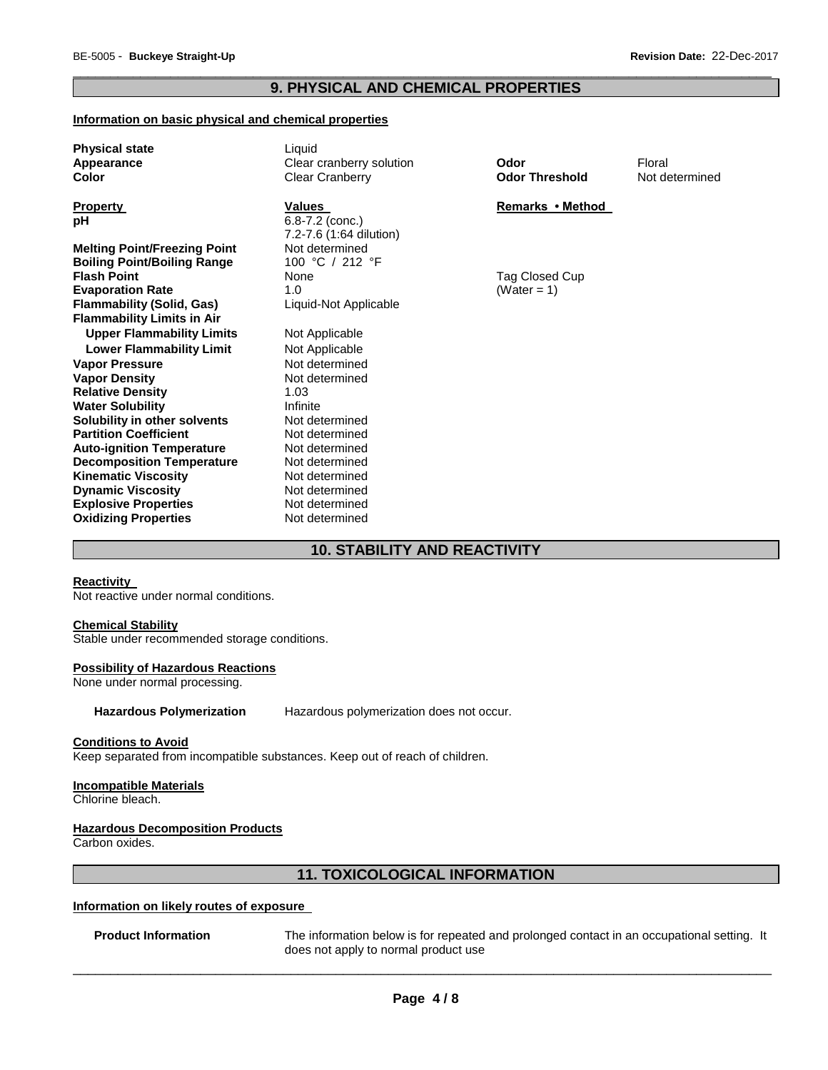### \_\_\_\_\_\_\_\_\_\_\_\_\_\_\_\_\_\_\_\_\_\_\_\_\_\_\_\_\_\_\_\_\_\_\_\_\_\_\_\_\_\_\_\_\_\_\_\_\_\_\_\_\_\_\_\_\_\_\_\_\_\_\_\_\_\_\_\_\_\_\_\_\_\_\_\_\_\_\_\_\_\_\_\_\_\_\_\_\_\_\_\_\_ **9. PHYSICAL AND CHEMICAL PROPERTIES**

### **Information on basic physical and chemical properties**

| <b>Physical state</b><br>Appearance<br>Color                              | Liquid<br>Clear cranberry solution<br><b>Clear Cranberry</b>    | Odor<br><b>Odor Threshold</b> | Floral<br>Not determined |
|---------------------------------------------------------------------------|-----------------------------------------------------------------|-------------------------------|--------------------------|
| <b>Property</b><br>рH                                                     | <b>Values</b><br>$6.8 - 7.2$ (conc.)<br>7.2-7.6 (1:64 dilution) | Remarks • Method              |                          |
| <b>Melting Point/Freezing Point</b><br><b>Boiling Point/Boiling Range</b> | Not determined<br>100 °C / 212 °F                               |                               |                          |
| <b>Flash Point</b>                                                        | None                                                            | Tag Closed Cup                |                          |
| <b>Evaporation Rate</b>                                                   | 1.0                                                             | (Water = $1$ )                |                          |
| <b>Flammability (Solid, Gas)</b><br><b>Flammability Limits in Air</b>     | Liquid-Not Applicable                                           |                               |                          |
| <b>Upper Flammability Limits</b>                                          | Not Applicable                                                  |                               |                          |
| <b>Lower Flammability Limit</b>                                           | Not Applicable                                                  |                               |                          |
| <b>Vapor Pressure</b>                                                     | Not determined                                                  |                               |                          |
| <b>Vapor Density</b>                                                      | Not determined                                                  |                               |                          |
| <b>Relative Density</b>                                                   | 1.03                                                            |                               |                          |
| <b>Water Solubility</b>                                                   | Infinite                                                        |                               |                          |
| Solubility in other solvents                                              | Not determined                                                  |                               |                          |
| <b>Partition Coefficient</b>                                              | Not determined<br>Not determined                                |                               |                          |
| <b>Auto-ignition Temperature</b><br><b>Decomposition Temperature</b>      | Not determined                                                  |                               |                          |
| <b>Kinematic Viscosity</b>                                                | Not determined                                                  |                               |                          |
| <b>Dynamic Viscosity</b>                                                  | Not determined                                                  |                               |                          |
| <b>Explosive Properties</b>                                               | Not determined                                                  |                               |                          |
| <b>Oxidizing Properties</b>                                               | Not determined                                                  |                               |                          |

# **10. STABILITY AND REACTIVITY**

### **Reactivity**

Not reactive under normal conditions.

### **Chemical Stability**

Stable under recommended storage conditions.

### **Possibility of Hazardous Reactions**

None under normal processing.

**Hazardous Polymerization** Hazardous polymerization does not occur.

### **Conditions to Avoid**

Keep separated from incompatible substances. Keep out of reach of children.

### **Incompatible Materials**

Chlorine bleach.

### **Hazardous Decomposition Products**

Carbon oxides.

# **11. TOXICOLOGICAL INFORMATION**

### **Information on likely routes of exposure**

**Product Information** The information below is for repeated and prolonged contact in an occupational setting. It does not apply to normal product use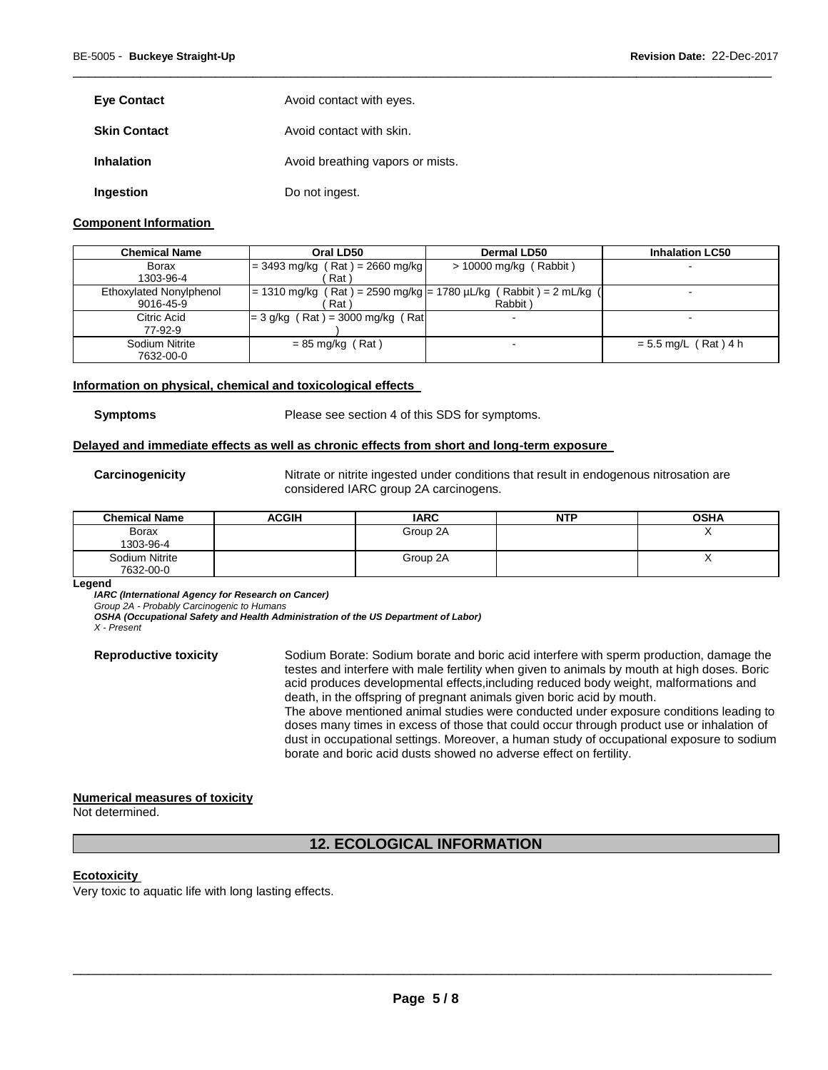| <b>Eye Contact</b>  | Avoid contact with eyes.         |
|---------------------|----------------------------------|
| <b>Skin Contact</b> | Avoid contact with skin.         |
| <b>Inhalation</b>   | Avoid breathing vapors or mists. |
| Ingestion           | Do not ingest.                   |

### **Component Information**

| <b>Chemical Name</b>    | Oral LD50                                                              | <b>Dermal LD50</b>       | <b>Inhalation LC50</b> |
|-------------------------|------------------------------------------------------------------------|--------------------------|------------------------|
| Borax                   | $= 3493$ mg/kg (Rat) = 2660 mg/kg                                      | $> 10000$ mg/kg (Rabbit) |                        |
| 1303-96-4               | Rat <sup>'</sup>                                                       |                          |                        |
| Ethoxylated Nonylphenol | = 1310 mg/kg ( Rat ) = 2590 mg/kg  = 1780 µL/kg ( Rabbit ) = 2 mL/kg ( |                          |                        |
| 9016-45-9               | Rat <sup>'</sup>                                                       | Rabbit)                  |                        |
| Citric Acid             | $=$ 3 g/kg (Rat) = 3000 mg/kg (Rat)                                    |                          |                        |
| 77-92-9                 |                                                                        |                          |                        |
| Sodium Nitrite          | $= 85$ mg/kg (Rat)                                                     | $\overline{\phantom{0}}$ | $= 5.5$ mg/L (Rat) 4 h |
| 7632-00-0               |                                                                        |                          |                        |

\_\_\_\_\_\_\_\_\_\_\_\_\_\_\_\_\_\_\_\_\_\_\_\_\_\_\_\_\_\_\_\_\_\_\_\_\_\_\_\_\_\_\_\_\_\_\_\_\_\_\_\_\_\_\_\_\_\_\_\_\_\_\_\_\_\_\_\_\_\_\_\_\_\_\_\_\_\_\_\_\_\_\_\_\_\_\_\_\_\_\_\_\_

### **Information on physical, chemical and toxicological effects**

**Symptoms** Please see section 4 of this SDS for symptoms.

### **Delayed and immediate effects as well as chronic effects from short and long-term exposure**

**Carcinogenicity** Nitrate or nitrite ingested under conditions that result in endogenous nitrosation are considered IARC group 2A carcinogens.

| <b>Chemical Name</b> | <b>ACGIH</b> | <b>IARC</b> | <b>NTP</b> | <b>OSHA</b> |
|----------------------|--------------|-------------|------------|-------------|
| Borax                |              | Group 2A    |            | ,,          |
| 1303-96-4            |              |             |            |             |
| Sodium Nitrite       |              | Group 2A    |            |             |
| 7632-00-0            |              |             |            |             |

**Legend** 

*IARC (International Agency for Research on Cancer)*

*Group 2A - Probably Carcinogenic to Humans* 

*OSHA (Occupational Safety and Health Administration of the US Department of Labor)*

*X - Present* 

**Reproductive toxicity** Sodium Borate: Sodium borate and boric acid interfere with sperm production, damage the testes and interfere with male fertility when given to animals by mouth at high doses. Boric acid produces developmental effects,including reduced body weight, malformations and death, in the offspring of pregnant animals given boric acid by mouth.

The above mentioned animal studies were conducted under exposure conditions leading to doses many times in excess of those that could occur through product use or inhalation of dust in occupational settings. Moreover, a human study of occupational exposure to sodium borate and boric acid dusts showed no adverse effect on fertility.

### **Numerical measures of toxicity**

Not determined.

# **12. ECOLOGICAL INFORMATION**

### **Ecotoxicity**

Very toxic to aquatic life with long lasting effects.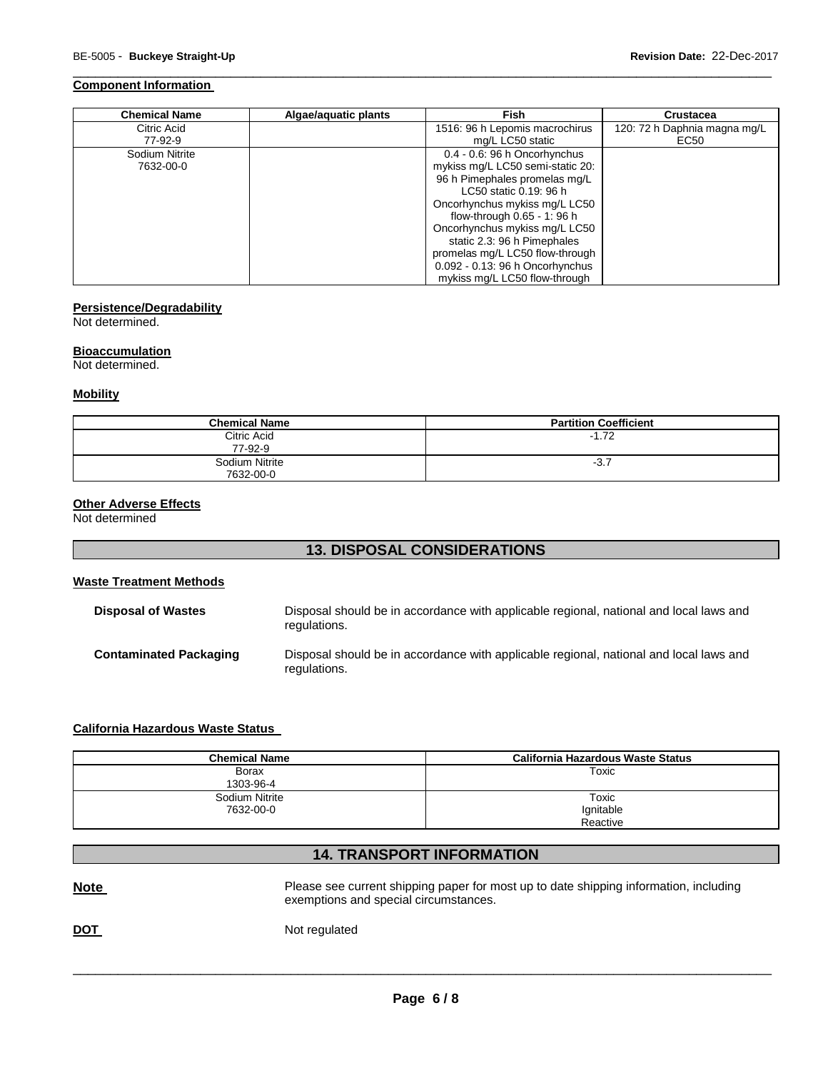### **Component Information**

| <b>Chemical Name</b> | Algae/aquatic plants | <b>Fish</b>                      | <b>Crustacea</b>             |
|----------------------|----------------------|----------------------------------|------------------------------|
| Citric Acid          |                      | 1516: 96 h Lepomis macrochirus   | 120: 72 h Daphnia magna mg/L |
| 77-92-9              |                      | mg/L LC50 static                 | EC50                         |
| Sodium Nitrite       |                      | 0.4 - 0.6: 96 h Oncorhynchus     |                              |
| 7632-00-0            |                      | mykiss mg/L LC50 semi-static 20: |                              |
|                      |                      | 96 h Pimephales promelas mg/L    |                              |
|                      |                      | LC50 static 0.19: 96 h           |                              |
|                      |                      | Oncorhynchus mykiss mg/L LC50    |                              |
|                      |                      | flow-through 0.65 - 1: 96 h      |                              |
|                      |                      | Oncorhynchus mykiss mg/L LC50    |                              |
|                      |                      | static 2.3: 96 h Pimephales      |                              |
|                      |                      | promelas mg/L LC50 flow-through  |                              |
|                      |                      | 0.092 - 0.13: 96 h Oncorhynchus  |                              |
|                      |                      | mykiss mg/L LC50 flow-through    |                              |

\_\_\_\_\_\_\_\_\_\_\_\_\_\_\_\_\_\_\_\_\_\_\_\_\_\_\_\_\_\_\_\_\_\_\_\_\_\_\_\_\_\_\_\_\_\_\_\_\_\_\_\_\_\_\_\_\_\_\_\_\_\_\_\_\_\_\_\_\_\_\_\_\_\_\_\_\_\_\_\_\_\_\_\_\_\_\_\_\_\_\_\_\_

### **Persistence/Degradability**

Not determined.

### **Bioaccumulation**

Not determined.

### **Mobility**

| <b>Chemical Name</b>        | <b>Partition Coefficient</b> |
|-----------------------------|------------------------------|
| Citric Acid<br>77-92-9      | $-1.72$                      |
| Sodium Nitrite<br>7632-00-0 | $-3.7$                       |

### **Other Adverse Effects**

Not determined

# **13. DISPOSAL CONSIDERATIONS**

### **Waste Treatment Methods**

| <b>Disposal of Wastes</b>     | Disposal should be in accordance with applicable regional, national and local laws and<br>regulations. |
|-------------------------------|--------------------------------------------------------------------------------------------------------|
| <b>Contaminated Packaging</b> | Disposal should be in accordance with applicable regional, national and local laws and<br>regulations. |

# **California Hazardous Waste Status**

| <b>Chemical Name</b> | California Hazardous Waste Status |
|----------------------|-----------------------------------|
| <b>Borax</b>         | Toxic                             |
| 1303-96-4            |                                   |
| Sodium Nitrite       | Toxic                             |
| 7632-00-0            | Ignitable                         |
|                      | Reactive                          |

### **14. TRANSPORT INFORMATION**

| <u>Note</u> | Please see current shipping paper for most up to date shipping information, including<br>exemptions and special circumstances. |
|-------------|--------------------------------------------------------------------------------------------------------------------------------|
| <b>DOT</b>  | Not regulated                                                                                                                  |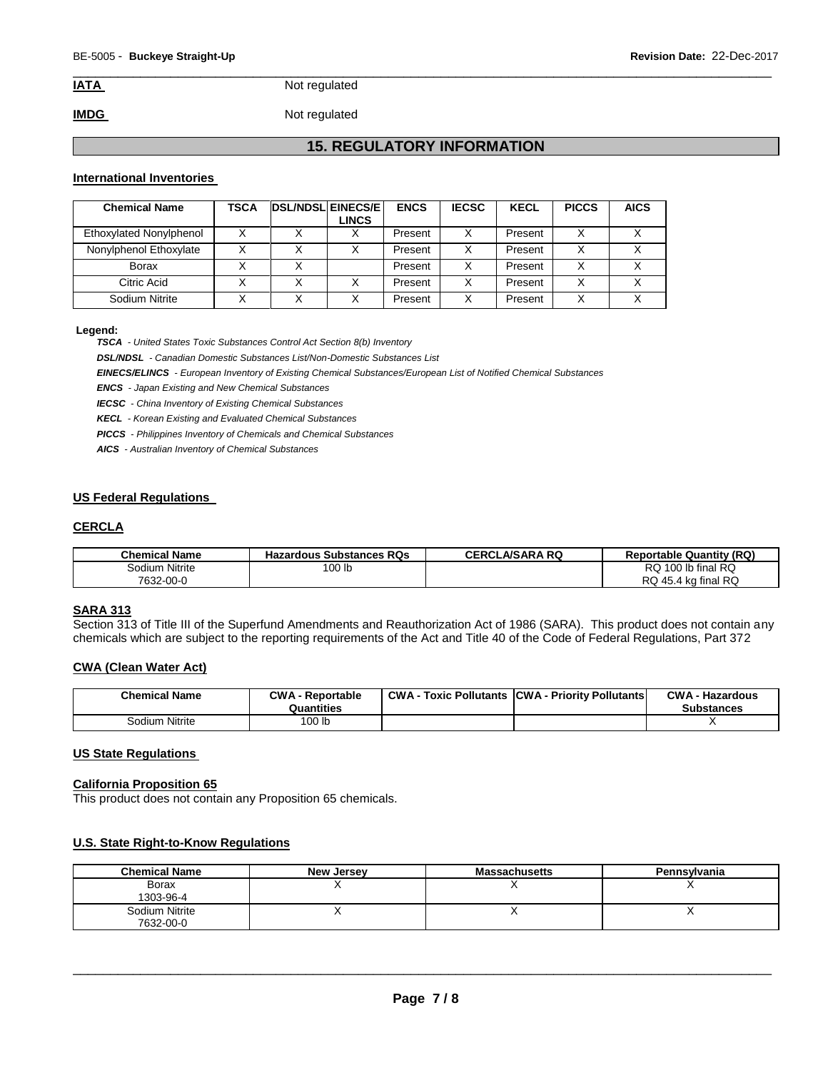\_\_\_\_\_\_\_\_\_\_\_\_\_\_\_\_\_\_\_\_\_\_\_\_\_\_\_\_\_\_\_\_\_\_\_\_\_\_\_\_\_\_\_\_\_\_\_\_\_\_\_\_\_\_\_\_\_\_\_\_\_\_\_\_\_\_\_\_\_\_\_\_\_\_\_\_\_\_\_\_\_\_\_\_\_\_\_\_\_\_\_\_\_ **IATA** Not regulated

**IMDG** Not regulated

# **15. REGULATORY INFORMATION**

### **International Inventories**

| <b>Chemical Name</b>    | <b>TSCA</b> | <b>DSL/NDSL EINECS/E</b> | <b>LINCS</b> | <b>ENCS</b> | <b>IECSC</b> | <b>KECL</b> | <b>PICCS</b> | <b>AICS</b> |  |
|-------------------------|-------------|--------------------------|--------------|-------------|--------------|-------------|--------------|-------------|--|
| Ethoxylated Nonylphenol |             |                          |              | Present     | х            | Present     |              |             |  |
| Nonylphenol Ethoxylate  |             |                          |              | Present     | x            | Present     |              |             |  |
| <b>Borax</b>            |             |                          |              | Present     | х            | Present     |              |             |  |
| Citric Acid             |             |                          |              | Present     | x            | Present     |              |             |  |
| Sodium Nitrite          |             |                          |              | Present     | x            | Present     |              |             |  |

### **Legend:**

*TSCA - United States Toxic Substances Control Act Section 8(b) Inventory* 

*DSL/NDSL - Canadian Domestic Substances List/Non-Domestic Substances List* 

*EINECS/ELINCS - European Inventory of Existing Chemical Substances/European List of Notified Chemical Substances* 

*ENCS - Japan Existing and New Chemical Substances* 

*IECSC - China Inventory of Existing Chemical Substances* 

*KECL - Korean Existing and Evaluated Chemical Substances* 

*PICCS - Philippines Inventory of Chemicals and Chemical Substances* 

*AICS - Australian Inventory of Chemical Substances* 

### **US Federal Regulations**

### **CERCLA**

| <b>Chemical Name</b> | <b>Hazardous Substances RQs</b> | <b>CERCLA/SARA RQ</b> | <b>Reportable Quantity (RQ)</b> |
|----------------------|---------------------------------|-----------------------|---------------------------------|
| Sodium Nitrite       | 100 lb                          |                       | RQ 100 lb final RQ              |
| 7632-00-0            |                                 |                       | RQ 45.4 kg final RQ             |

### **SARA 313**

Section 313 of Title III of the Superfund Amendments and Reauthorization Act of 1986 (SARA). This product does not contain any chemicals which are subject to the reporting requirements of the Act and Title 40 of the Code of Federal Regulations, Part 372

### **CWA (Clean Water Act)**

| <b>Chemical Name</b> | <b>CWA - Reportable</b><br>Quantities | <b>CWA - Toxic Pollutants ICWA - Priority Pollutants</b> | <b>CWA - Hazardous</b><br><b>Substances</b> |
|----------------------|---------------------------------------|----------------------------------------------------------|---------------------------------------------|
| Sodium Nitrite       | 100 <sub>lb</sub>                     |                                                          |                                             |

### **US State Regulations**

### **California Proposition 65**

This product does not contain any Proposition 65 chemicals.

### **U.S. State Right-to-Know Regulations**

| <b>Chemical Name</b> | <b>New Jersey</b> | <b>Massachusetts</b> | Pennsylvania |
|----------------------|-------------------|----------------------|--------------|
| Borax                |                   |                      |              |
| 1303-96-4            |                   |                      |              |
| Sodium Nitrite       |                   | ,,                   |              |
| 7632-00-0            |                   |                      |              |